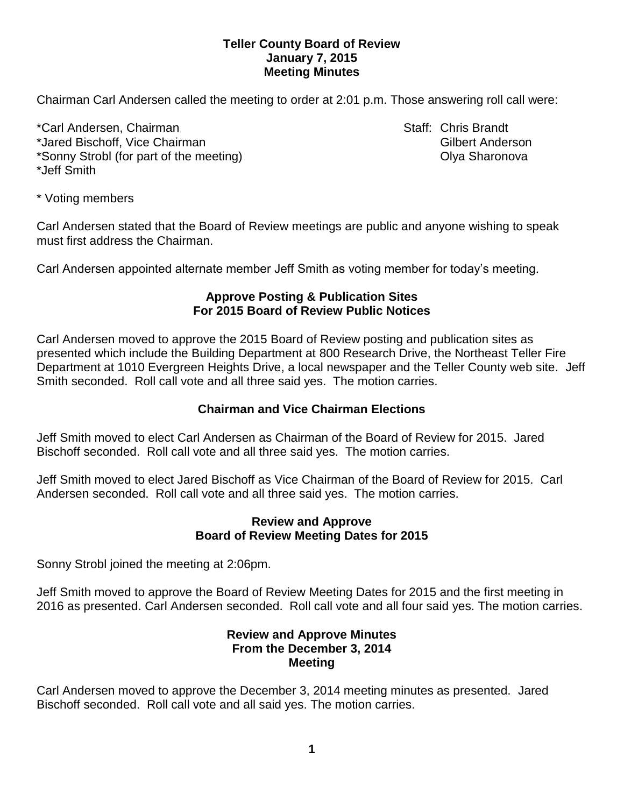# **Teller County Board of Review January 7, 2015 Meeting Minutes**

Chairman Carl Andersen called the meeting to order at 2:01 p.m. Those answering roll call were:

\*Carl Andersen, Chairman Staff: Chris Brandt \*Jared Bischoff, Vice Chairman Gilbert Anderson \*Sonny Strobl (for part of the meeting) and the meeting of the strong of the Mathematic Chemister Chemister Chemister \*Jeff Smith

\* Voting members

Carl Andersen stated that the Board of Review meetings are public and anyone wishing to speak must first address the Chairman.

Carl Andersen appointed alternate member Jeff Smith as voting member for today's meeting.

## **Approve Posting & Publication Sites For 2015 Board of Review Public Notices**

Carl Andersen moved to approve the 2015 Board of Review posting and publication sites as presented which include the Building Department at 800 Research Drive, the Northeast Teller Fire Department at 1010 Evergreen Heights Drive, a local newspaper and the Teller County web site. Jeff Smith seconded. Roll call vote and all three said yes. The motion carries.

# **Chairman and Vice Chairman Elections**

Jeff Smith moved to elect Carl Andersen as Chairman of the Board of Review for 2015. Jared Bischoff seconded. Roll call vote and all three said yes. The motion carries.

Jeff Smith moved to elect Jared Bischoff as Vice Chairman of the Board of Review for 2015. Carl Andersen seconded. Roll call vote and all three said yes. The motion carries.

## **Review and Approve Board of Review Meeting Dates for 2015**

Sonny Strobl joined the meeting at 2:06pm.

Jeff Smith moved to approve the Board of Review Meeting Dates for 2015 and the first meeting in 2016 as presented. Carl Andersen seconded. Roll call vote and all four said yes. The motion carries.

## **Review and Approve Minutes From the December 3, 2014 Meeting**

Carl Andersen moved to approve the December 3, 2014 meeting minutes as presented. Jared Bischoff seconded. Roll call vote and all said yes. The motion carries.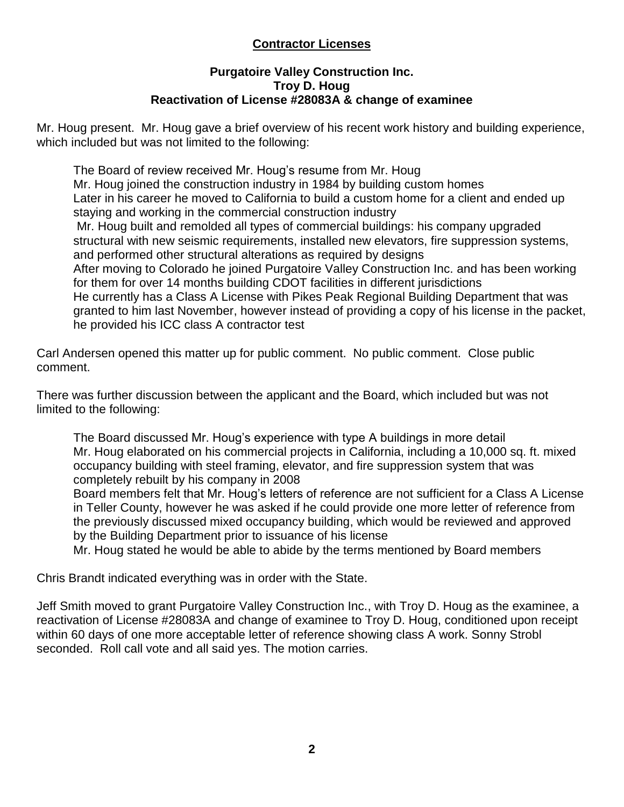# **Contractor Licenses**

# **Purgatoire Valley Construction Inc. Troy D. Houg Reactivation of License #28083A & change of examinee**

Mr. Houg present. Mr. Houg gave a brief overview of his recent work history and building experience, which included but was not limited to the following:

The Board of review received Mr. Houg's resume from Mr. Houg Mr. Houg joined the construction industry in 1984 by building custom homes Later in his career he moved to California to build a custom home for a client and ended up staying and working in the commercial construction industry Mr. Houg built and remolded all types of commercial buildings: his company upgraded structural with new seismic requirements, installed new elevators, fire suppression systems, and performed other structural alterations as required by designs After moving to Colorado he joined Purgatoire Valley Construction Inc. and has been working for them for over 14 months building CDOT facilities in different jurisdictions He currently has a Class A License with Pikes Peak Regional Building Department that was granted to him last November, however instead of providing a copy of his license in the packet, he provided his ICC class A contractor test

Carl Andersen opened this matter up for public comment. No public comment. Close public comment.

There was further discussion between the applicant and the Board, which included but was not limited to the following:

The Board discussed Mr. Houg's experience with type A buildings in more detail Mr. Houg elaborated on his commercial projects in California, including a 10,000 sq. ft. mixed occupancy building with steel framing, elevator, and fire suppression system that was completely rebuilt by his company in 2008

Board members felt that Mr. Houg's letters of reference are not sufficient for a Class A License in Teller County, however he was asked if he could provide one more letter of reference from the previously discussed mixed occupancy building, which would be reviewed and approved by the Building Department prior to issuance of his license

Mr. Houg stated he would be able to abide by the terms mentioned by Board members

Chris Brandt indicated everything was in order with the State.

Jeff Smith moved to grant Purgatoire Valley Construction Inc., with Troy D. Houg as the examinee, a reactivation of License #28083A and change of examinee to Troy D. Houg, conditioned upon receipt within 60 days of one more acceptable letter of reference showing class A work. Sonny Strobl seconded. Roll call vote and all said yes. The motion carries.